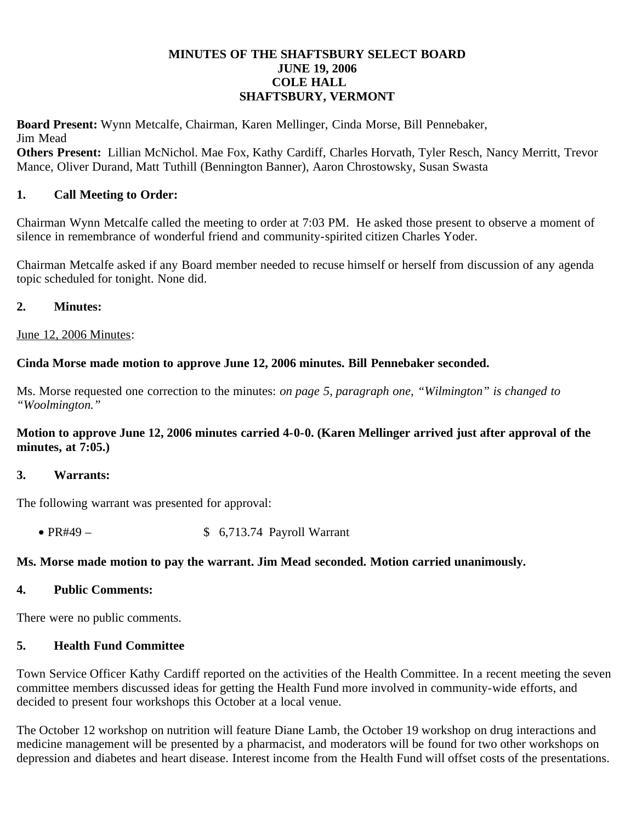#### **MINUTES OF THE SHAFTSBURY SELECT BOARD JUNE 19, 2006 COLE HALL SHAFTSBURY, VERMONT**

**Board Present:** Wynn Metcalfe, Chairman, Karen Mellinger, Cinda Morse, Bill Pennebaker, Jim Mead

**Others Present:** Lillian McNichol. Mae Fox, Kathy Cardiff, Charles Horvath, Tyler Resch, Nancy Merritt, Trevor Mance, Oliver Durand, Matt Tuthill (Bennington Banner), Aaron Chrostowsky, Susan Swasta

## **1. Call Meeting to Order:**

Chairman Wynn Metcalfe called the meeting to order at 7:03 PM. He asked those present to observe a moment of silence in remembrance of wonderful friend and community-spirited citizen Charles Yoder.

Chairman Metcalfe asked if any Board member needed to recuse himself or herself from discussion of any agenda topic scheduled for tonight. None did.

#### **2. Minutes:**

June 12, 2006 Minutes:

### **Cinda Morse made motion to approve June 12, 2006 minutes. Bill Pennebaker seconded.**

Ms. Morse requested one correction to the minutes: *on page 5, paragraph one, "Wilmington" is changed to "Woolmington."*

#### **Motion to approve June 12, 2006 minutes carried 4-0-0. (Karen Mellinger arrived just after approval of the minutes, at 7:05.)**

#### **3. Warrants:**

The following warrant was presented for approval:

• PR#49 –  $$ 6,713.74$  Payroll Warrant

### **Ms. Morse made motion to pay the warrant. Jim Mead seconded. Motion carried unanimously.**

### **4. Public Comments:**

There were no public comments.

### **5. Health Fund Committee**

Town Service Officer Kathy Cardiff reported on the activities of the Health Committee. In a recent meeting the seven committee members discussed ideas for getting the Health Fund more involved in community-wide efforts, and decided to present four workshops this October at a local venue.

The October 12 workshop on nutrition will feature Diane Lamb, the October 19 workshop on drug interactions and medicine management will be presented by a pharmacist, and moderators will be found for two other workshops on depression and diabetes and heart disease. Interest income from the Health Fund will offset costs of the presentations.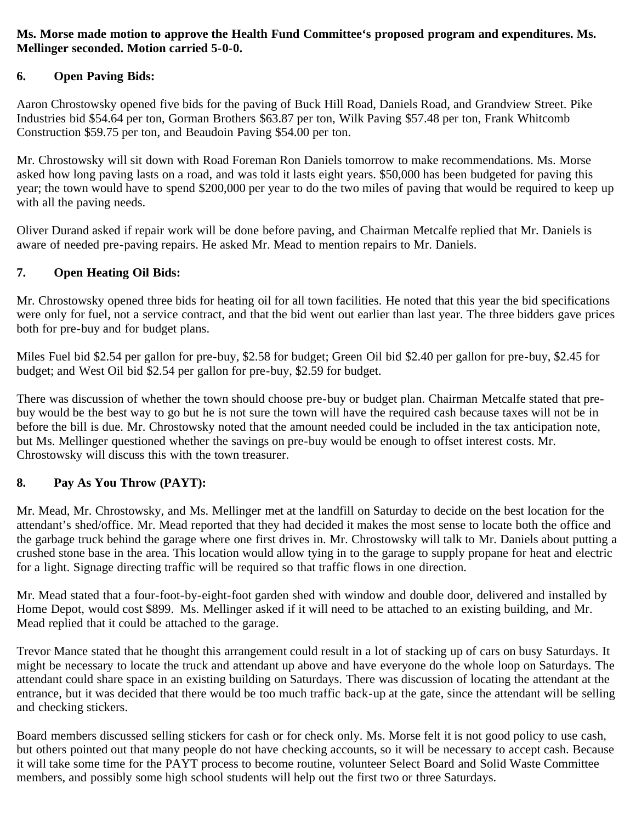### **Ms. Morse made motion to approve the Health Fund Committee's proposed program and expenditures. Ms. Mellinger seconded. Motion carried 5-0-0.**

# **6. Open Paving Bids:**

Aaron Chrostowsky opened five bids for the paving of Buck Hill Road, Daniels Road, and Grandview Street. Pike Industries bid \$54.64 per ton, Gorman Brothers \$63.87 per ton, Wilk Paving \$57.48 per ton, Frank Whitcomb Construction \$59.75 per ton, and Beaudoin Paving \$54.00 per ton.

Mr. Chrostowsky will sit down with Road Foreman Ron Daniels tomorrow to make recommendations. Ms. Morse asked how long paving lasts on a road, and was told it lasts eight years. \$50,000 has been budgeted for paving this year; the town would have to spend \$200,000 per year to do the two miles of paving that would be required to keep up with all the paving needs.

Oliver Durand asked if repair work will be done before paving, and Chairman Metcalfe replied that Mr. Daniels is aware of needed pre-paving repairs. He asked Mr. Mead to mention repairs to Mr. Daniels.

# **7. Open Heating Oil Bids:**

Mr. Chrostowsky opened three bids for heating oil for all town facilities. He noted that this year the bid specifications were only for fuel, not a service contract, and that the bid went out earlier than last year. The three bidders gave prices both for pre-buy and for budget plans.

Miles Fuel bid \$2.54 per gallon for pre-buy, \$2.58 for budget; Green Oil bid \$2.40 per gallon for pre-buy, \$2.45 for budget; and West Oil bid \$2.54 per gallon for pre-buy, \$2.59 for budget.

There was discussion of whether the town should choose pre-buy or budget plan. Chairman Metcalfe stated that prebuy would be the best way to go but he is not sure the town will have the required cash because taxes will not be in before the bill is due. Mr. Chrostowsky noted that the amount needed could be included in the tax anticipation note, but Ms. Mellinger questioned whether the savings on pre-buy would be enough to offset interest costs. Mr. Chrostowsky will discuss this with the town treasurer.

# **8. Pay As You Throw (PAYT):**

Mr. Mead, Mr. Chrostowsky, and Ms. Mellinger met at the landfill on Saturday to decide on the best location for the attendant's shed/office. Mr. Mead reported that they had decided it makes the most sense to locate both the office and the garbage truck behind the garage where one first drives in. Mr. Chrostowsky will talk to Mr. Daniels about putting a crushed stone base in the area. This location would allow tying in to the garage to supply propane for heat and electric for a light. Signage directing traffic will be required so that traffic flows in one direction.

Mr. Mead stated that a four-foot-by-eight-foot garden shed with window and double door, delivered and installed by Home Depot, would cost \$899. Ms. Mellinger asked if it will need to be attached to an existing building, and Mr. Mead replied that it could be attached to the garage.

Trevor Mance stated that he thought this arrangement could result in a lot of stacking up of cars on busy Saturdays. It might be necessary to locate the truck and attendant up above and have everyone do the whole loop on Saturdays. The attendant could share space in an existing building on Saturdays. There was discussion of locating the attendant at the entrance, but it was decided that there would be too much traffic back-up at the gate, since the attendant will be selling and checking stickers.

Board members discussed selling stickers for cash or for check only. Ms. Morse felt it is not good policy to use cash, but others pointed out that many people do not have checking accounts, so it will be necessary to accept cash. Because it will take some time for the PAYT process to become routine, volunteer Select Board and Solid Waste Committee members, and possibly some high school students will help out the first two or three Saturdays.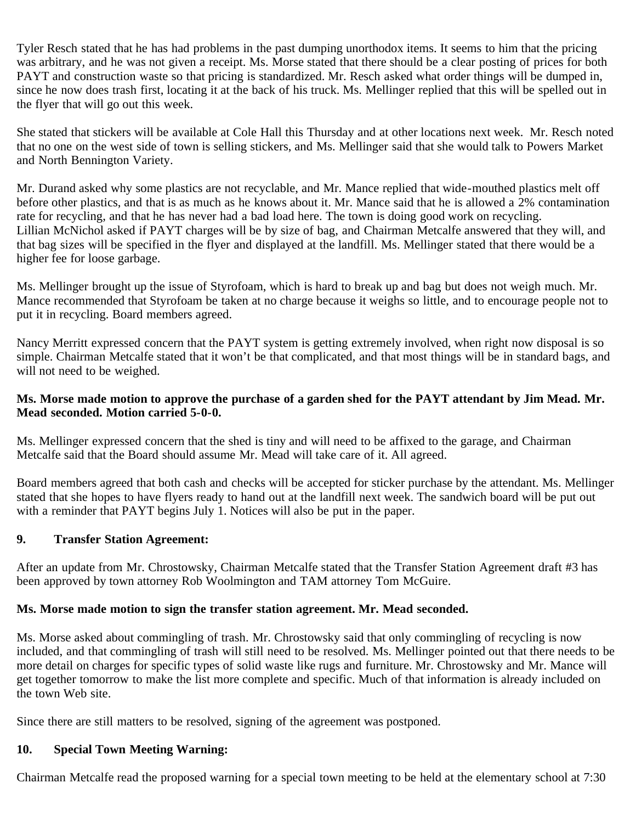Tyler Resch stated that he has had problems in the past dumping unorthodox items. It seems to him that the pricing was arbitrary, and he was not given a receipt. Ms. Morse stated that there should be a clear posting of prices for both PAYT and construction waste so that pricing is standardized. Mr. Resch asked what order things will be dumped in, since he now does trash first, locating it at the back of his truck. Ms. Mellinger replied that this will be spelled out in the flyer that will go out this week.

She stated that stickers will be available at Cole Hall this Thursday and at other locations next week. Mr. Resch noted that no one on the west side of town is selling stickers, and Ms. Mellinger said that she would talk to Powers Market and North Bennington Variety.

Mr. Durand asked why some plastics are not recyclable, and Mr. Mance replied that wide-mouthed plastics melt off before other plastics, and that is as much as he knows about it. Mr. Mance said that he is allowed a 2% contamination rate for recycling, and that he has never had a bad load here. The town is doing good work on recycling. Lillian McNichol asked if PAYT charges will be by size of bag, and Chairman Metcalfe answered that they will, and that bag sizes will be specified in the flyer and displayed at the landfill. Ms. Mellinger stated that there would be a higher fee for loose garbage.

Ms. Mellinger brought up the issue of Styrofoam, which is hard to break up and bag but does not weigh much. Mr. Mance recommended that Styrofoam be taken at no charge because it weighs so little, and to encourage people not to put it in recycling. Board members agreed.

Nancy Merritt expressed concern that the PAYT system is getting extremely involved, when right now disposal is so simple. Chairman Metcalfe stated that it won't be that complicated, and that most things will be in standard bags, and will not need to be weighed.

#### **Ms. Morse made motion to approve the purchase of a garden shed for the PAYT attendant by Jim Mead. Mr. Mead seconded. Motion carried 5-0-0.**

Ms. Mellinger expressed concern that the shed is tiny and will need to be affixed to the garage, and Chairman Metcalfe said that the Board should assume Mr. Mead will take care of it. All agreed.

Board members agreed that both cash and checks will be accepted for sticker purchase by the attendant. Ms. Mellinger stated that she hopes to have flyers ready to hand out at the landfill next week. The sandwich board will be put out with a reminder that PAYT begins July 1. Notices will also be put in the paper.

#### **9. Transfer Station Agreement:**

After an update from Mr. Chrostowsky, Chairman Metcalfe stated that the Transfer Station Agreement draft #3 has been approved by town attorney Rob Woolmington and TAM attorney Tom McGuire.

### **Ms. Morse made motion to sign the transfer station agreement. Mr. Mead seconded.**

Ms. Morse asked about commingling of trash. Mr. Chrostowsky said that only commingling of recycling is now included, and that commingling of trash will still need to be resolved. Ms. Mellinger pointed out that there needs to be more detail on charges for specific types of solid waste like rugs and furniture. Mr. Chrostowsky and Mr. Mance will get together tomorrow to make the list more complete and specific. Much of that information is already included on the town Web site.

Since there are still matters to be resolved, signing of the agreement was postponed.

#### **10. Special Town Meeting Warning:**

Chairman Metcalfe read the proposed warning for a special town meeting to be held at the elementary school at 7:30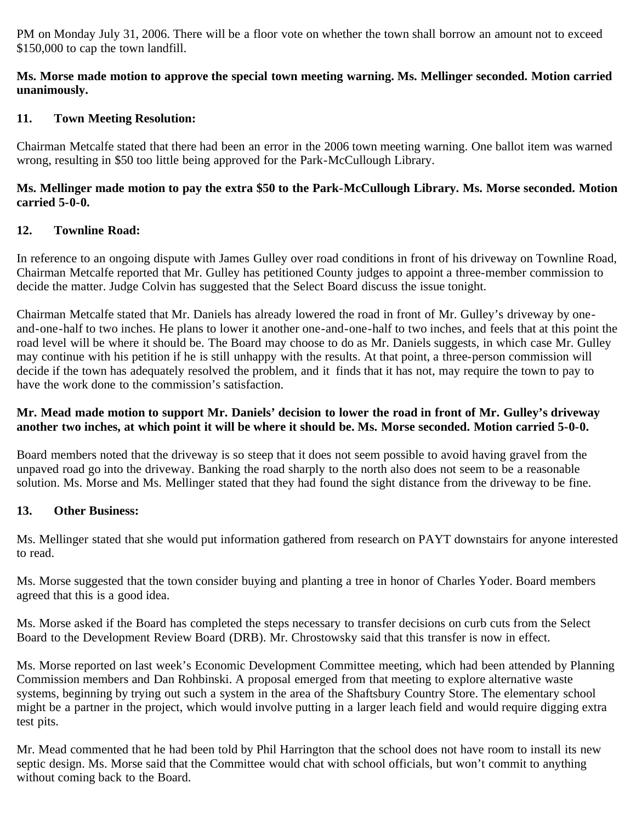PM on Monday July 31, 2006. There will be a floor vote on whether the town shall borrow an amount not to exceed \$150,000 to cap the town landfill.

### **Ms. Morse made motion to approve the special town meeting warning. Ms. Mellinger seconded. Motion carried unanimously.**

## **11. Town Meeting Resolution:**

Chairman Metcalfe stated that there had been an error in the 2006 town meeting warning. One ballot item was warned wrong, resulting in \$50 too little being approved for the Park-McCullough Library.

### **Ms. Mellinger made motion to pay the extra \$50 to the Park-McCullough Library. Ms. Morse seconded. Motion carried 5-0-0.**

## **12. Townline Road:**

In reference to an ongoing dispute with James Gulley over road conditions in front of his driveway on Townline Road, Chairman Metcalfe reported that Mr. Gulley has petitioned County judges to appoint a three-member commission to decide the matter. Judge Colvin has suggested that the Select Board discuss the issue tonight.

Chairman Metcalfe stated that Mr. Daniels has already lowered the road in front of Mr. Gulley's driveway by oneand-one-half to two inches. He plans to lower it another one-and-one-half to two inches, and feels that at this point the road level will be where it should be. The Board may choose to do as Mr. Daniels suggests, in which case Mr. Gulley may continue with his petition if he is still unhappy with the results. At that point, a three-person commission will decide if the town has adequately resolved the problem, and it finds that it has not, may require the town to pay to have the work done to the commission's satisfaction.

### **Mr. Mead made motion to support Mr. Daniels' decision to lower the road in front of Mr. Gulley's driveway another two inches, at which point it will be where it should be. Ms. Morse seconded. Motion carried 5-0-0.**

Board members noted that the driveway is so steep that it does not seem possible to avoid having gravel from the unpaved road go into the driveway. Banking the road sharply to the north also does not seem to be a reasonable solution. Ms. Morse and Ms. Mellinger stated that they had found the sight distance from the driveway to be fine.

### **13. Other Business:**

Ms. Mellinger stated that she would put information gathered from research on PAYT downstairs for anyone interested to read.

Ms. Morse suggested that the town consider buying and planting a tree in honor of Charles Yoder. Board members agreed that this is a good idea.

Ms. Morse asked if the Board has completed the steps necessary to transfer decisions on curb cuts from the Select Board to the Development Review Board (DRB). Mr. Chrostowsky said that this transfer is now in effect.

Ms. Morse reported on last week's Economic Development Committee meeting, which had been attended by Planning Commission members and Dan Rohbinski. A proposal emerged from that meeting to explore alternative waste systems, beginning by trying out such a system in the area of the Shaftsbury Country Store. The elementary school might be a partner in the project, which would involve putting in a larger leach field and would require digging extra test pits.

Mr. Mead commented that he had been told by Phil Harrington that the school does not have room to install its new septic design. Ms. Morse said that the Committee would chat with school officials, but won't commit to anything without coming back to the Board.